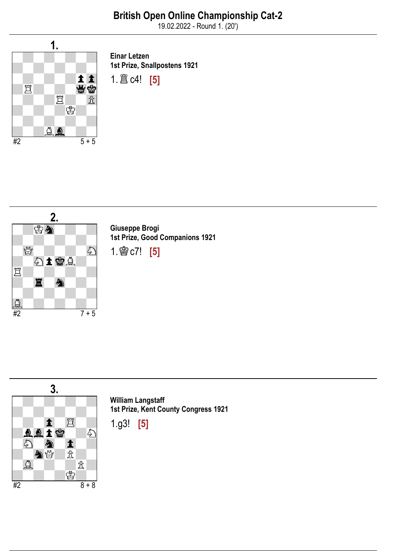19.02.2022 - Round 1. (20')



Einar Letzen 1st Prize, Snallpostens 1921





Giuseppe Brogi 1st Prize, Good Companions 1921

1.♔c7! [5]



William Langstaff 1st Prize, Kent County Congress 1921

1.g3! [5]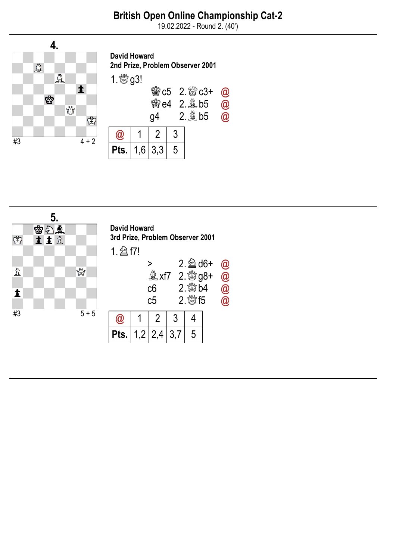## British Open Online Championship Cat-2

19.02.2022 - Round 2. (40')



| <b>David Howard</b><br>2nd Prize, Problem Observer 2001 |  |           |   |            |                      |  |  |
|---------------------------------------------------------|--|-----------|---|------------|----------------------|--|--|
|                                                         |  |           |   |            |                      |  |  |
|                                                         |  | q4        |   | e4 2. @ b5 | $\alpha$<br>$\bm{0}$ |  |  |
|                                                         |  |           | 3 |            |                      |  |  |
|                                                         |  | $1,6$ 3,3 | 5 |            |                      |  |  |

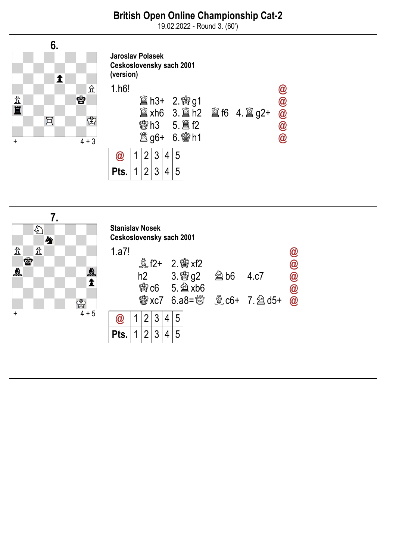## British Open Online Championship Cat-2

19.02.2022 - Round 3. (60')





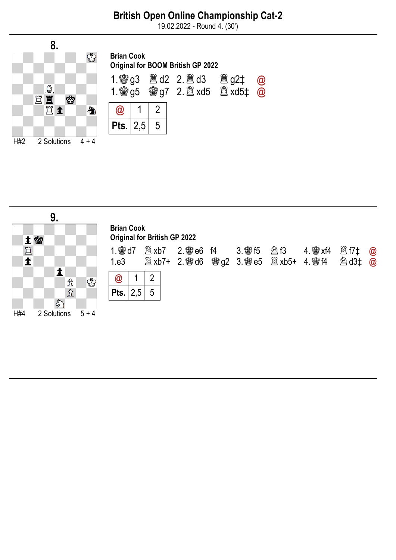## British Open Online Championship Cat-2

19.02.2022 - Round 4. (30')



| <b>Brian Cook</b><br><b>Original for BOOM British GP 2022</b> |  |    |  |  |          |  |  |  |
|---------------------------------------------------------------|--|----|--|--|----------|--|--|--|
|                                                               |  |    |  |  | $\omega$ |  |  |  |
| $^{\textregistered}$                                          |  |    |  |  |          |  |  |  |
| <b>Pts.</b>   2,5                                             |  | -5 |  |  |          |  |  |  |

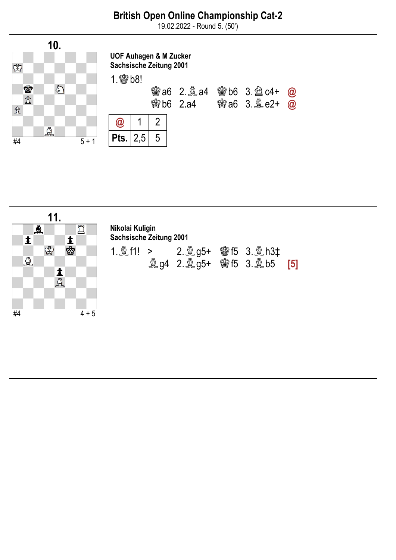19.02.2022 - Round 5. (50')